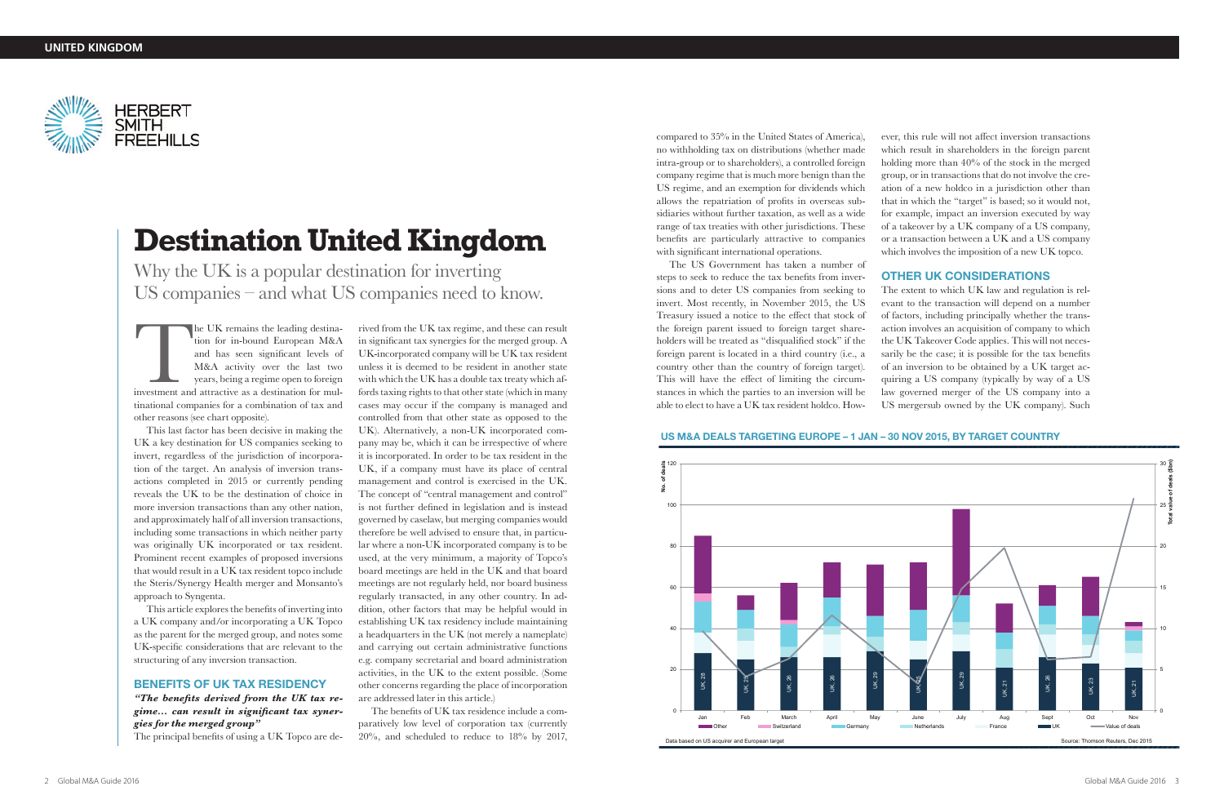The US Government has taken a number of steps to seek to reduce the tax benefits from inversions and to deter US companies from seeking to invert. Most recently, in November 2015, the US Treasury issued a notice to the effect that stock of the foreign parent issued to foreign target shareholders will be treated as "disqualified stock" if the foreign parent is located in a third country (i.e., a country other than the country of foreign target). This will have the effect of limiting the circumstances in which the parties to an inversion will be able to elect to have a UK tax resident holdco. Howable to elect to have a UK tax resident holdco. How- US mergersub owned by the UK company). Such

compared to 35% in the United States of America), no withholding tax on distributions (whether made intra-group or to shareholders), a controlled foreign company regime that is much more benign than the US regime, and an exemption for dividends which allows the repatriation of profits in overseas subsidiaries without further taxation, as well as a wide range of tax treaties with other jurisdictions. These benefits are particularly attractive to companies with significant international operations.

The UK remains the leading destination for in-bound European M&A<br>and has seen significant levels of<br>M&A activity over the last two<br>years, being a regime open to foreign<br>investment and attractive as a destination for mul-<br>t he UK remains the leading destination for in-bound European M&A and has seen significant levels of M&A activity over the last two years, being a regime open to foreign tinational companies for a combination of tax and other reasons (see chart opposite).

ever, this rule will not affect inversion transactions which result in shareholders in the foreign parent holding more than 40% of the stock in the merged group, or in transactions that do not involve the creation of a new holdco in a jurisdiction other than that in which the "target" is based; so it would not, for example, impact an inversion executed by way of a takeover by a UK company of a US company, or a transaction between a UK and a US company which involves the imposition of a new UK topco.

## OTHER UK CONSIDERATIONS

The extent to which UK law and regulation is relevant to the transaction will depend on a number of factors, including principally whether the transaction involves an acquisition of company to which the UK Takeover Code applies. This will not necessarily be the case; it is possible for the tax benefits of an inversion to be obtained by a UK target acquiring a US company (typically by way of a US law governed merger of the US company into a

## US M&A DEALS TARGETING EUROPE – 1 JAN – 30 NOV 2015, BY TARGET COUNTRY

This last factor has been decisive in making the UK a key destination for US companies seeking to invert, regardless of the jurisdiction of incorporation of the target. An analysis of inversion transactions completed in 2015 or currently pending reveals the UK to be the destination of choice in more inversion transactions than any other nation, and approximately half of all inversion transactions, including some transactions in which neither party was originally UK incorporated or tax resident. Prominent recent examples of proposed inversions that would result in a UK tax resident topco include the Steris/Synergy Health merger and Monsanto's approach to Syngenta.

This article explores the benefits of inverting into a UK company and/or incorporating a UK Topco as the parent for the merged group, and notes some UK-specific considerations that are relevant to the structuring of any inversion transaction.

### BENEFITS OF UK TAX RESIDENCY

*"The benefits derived from the UK tax regime… can result in significant tax synergies for the merged group"* The principal benefits of using a UK Topco are de-

rived from the UK tax regime, and these can result in significant tax synergies for the merged group. A UK-incorporated company will be UK tax resident unless it is deemed to be resident in another state with which the UK has a double tax treaty which affords taxing rights to that other state (which in many cases may occur if the company is managed and controlled from that other state as opposed to the UK). Alternatively, a non-UK incorporated company may be, which it can be irrespective of where it is incorporated. In order to be tax resident in the UK, if a company must have its place of central management and control is exercised in the UK. The concept of "central management and control" is not further defined in legislation and is instead governed by caselaw, but merging companies would therefore be well advised to ensure that, in particular where a non-UK incorporated company is to be used, at the very minimum, a majority of Topco's board meetings are held in the UK and that board meetings are not regularly held, nor board business regularly transacted, in any other country. In addition, other factors that may be helpful would in establishing UK tax residency include maintaining a headquarters in the UK (not merely a nameplate) and carrying out certain administrative functions e.g. company secretarial and board administration activities, in the UK to the extent possible. (Some other concerns regarding the place of incorporation are addressed later in this article.)

The benefits of UK tax residence include a comparatively low level of corporation tax (currently 20%, and scheduled to reduce to 18% by 2017,

# **Destination United Kingdom**

Why the UK is a popular destination for inverting US companies – and what US companies need to know.





**No. of deals** 

৳ ۊ